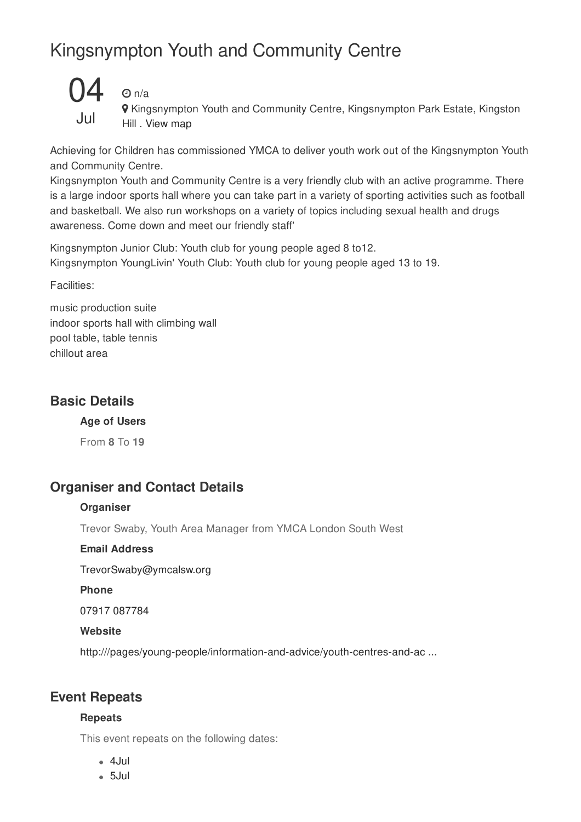## Kingsnympton Youth and Community Centre



## $\Theta$  n/a

**9** Kingsnympton Youth and Community Centre, Kingsnympton Park Estate, Kingston Hill . View map

Achieving for Children has commissioned YMCA to deliver youth work out of the Kingsnympton Youth and Community Centre.

Kingsnympton Youth and Community Centre is a very friendly club with an active programme. There is a large indoor sports hall where you can take part in a variety of sporting activities such as football and basketball. We also run workshops on a variety of topics including sexual health and drugs awareness. Come down and meet our friendly staff'

Kingsnympton Junior Club: Youth club for young people aged 8 to12. Kingsnympton YoungLivin' Youth Club: Youth club for young people aged 13 to 19.

Facilities:

music production suite indoor sports hall with climbing wall pool table, table tennis chillout area

### **Basic Details**

**Age of Users**

From **8** To **19**

### **Organiser and Contact Details**

#### **Organiser**

Trevor Swaby, Youth Area Manager from YMCA London South West

#### **Email Address**

TrevorSwaby@ymcalsw.org

**Phone**

07917 087784

#### **Website**

http:///pages/young-people/information-and-advice/youth-centres-and-ac ...

### **Event Repeats**

#### **Repeats**

This event repeats on the following dates:

- 4Jul
- 5Jul